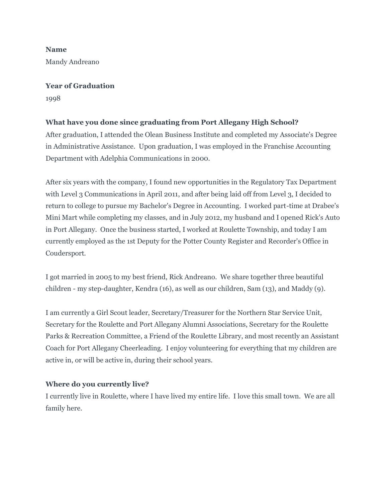**Name** Mandy Andreano

#### **Year of Graduation**

1998

# **What have you done since graduating from Port Allegany High School?**

After graduation, I attended the Olean Business Institute and completed my Associate's Degree in Administrative Assistance. Upon graduation, I was employed in the Franchise Accounting Department with Adelphia Communications in 2000.

After six years with the company, I found new opportunities in the Regulatory Tax Department with Level 3 Communications in April 2011, and after being laid off from Level 3, I decided to return to college to pursue my Bachelor's Degree in Accounting. I worked part-time at Drabee's Mini Mart while completing my classes, and in July 2012, my husband and I opened Rick's Auto in Port Allegany. Once the business started, I worked at Roulette Township, and today I am currently employed as the 1st Deputy for the Potter County Register and Recorder's Office in Coudersport.

I got married in 2005 to my best friend, Rick Andreano. We share together three beautiful children - my step-daughter, Kendra (16), as well as our children, Sam (13), and Maddy (9).

I am currently a Girl Scout leader, Secretary/Treasurer for the Northern Star Service Unit, Secretary for the Roulette and Port Allegany Alumni Associations, Secretary for the Roulette Parks & Recreation Committee, a Friend of the Roulette Library, and most recently an Assistant Coach for Port Allegany Cheerleading. I enjoy volunteering for everything that my children are active in, or will be active in, during their school years.

## **Where do you currently live?**

I currently live in Roulette, where I have lived my entire life. I love this small town. We are all family here.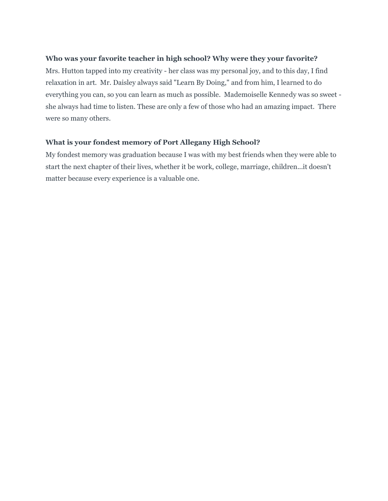## **Who was your favorite teacher in high school? Why were they your favorite?**

Mrs. Hutton tapped into my creativity - her class was my personal joy, and to this day, I find relaxation in art. Mr. Daisley always said "Learn By Doing," and from him, I learned to do everything you can, so you can learn as much as possible. Mademoiselle Kennedy was so sweet she always had time to listen. These are only a few of those who had an amazing impact. There were so many others.

#### **What is your fondest memory of Port Allegany High School?**

My fondest memory was graduation because I was with my best friends when they were able to start the next chapter of their lives, whether it be work, college, marriage, children...it doesn't matter because every experience is a valuable one.